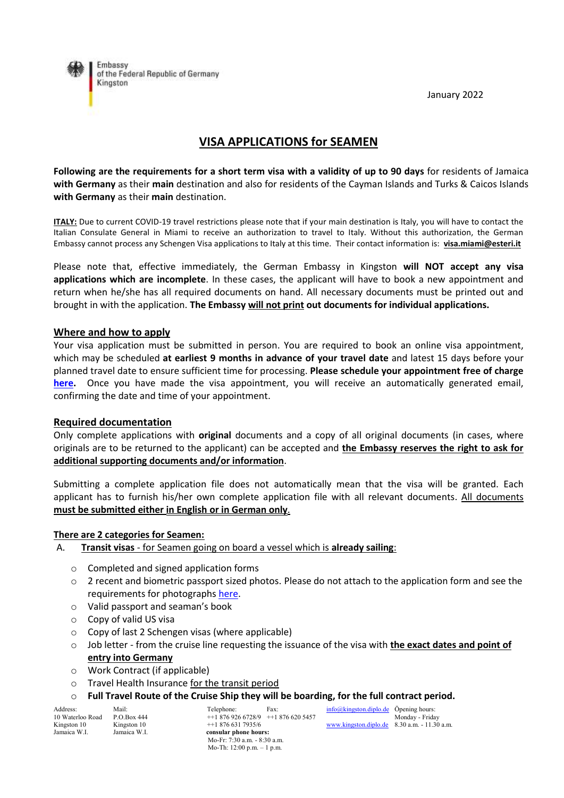January 2022



# **VISA APPLICATIONS for SEAMEN**

**Following are the requirements for a short term visa with a validity of up to 90 days** for residents of Jamaica **with Germany** as their **main** destination and also for residents of the Cayman Islands and Turks & Caicos Islands **with Germany** as their **main** destination.

**ITALY:** Due to current COVID-19 travel restrictions please note that if your main destination is Italy, you will have to contact the Italian Consulate General in Miami to receive an authorization to travel to Italy. Without this authorization, the German Embassy cannot process any Schengen Visa applications to Italy at this time. Their contact information is: **[visa.miami@esteri.it](mailto:visa.miami@esteri.it)**

Please note that, effective immediately, the German Embassy in Kingston **will NOT accept any visa applications which are incomplete**. In these cases, the applicant will have to book a new appointment and return when he/she has all required documents on hand. All necessary documents must be printed out and brought in with the application. **The Embassy will not print out documents for individual applications.**

### **Where and how to apply**

Your visa application must be submitted in person. You are required to book an online visa appointment, which may be scheduled **at earliest 9 months in advance of your travel date** and latest 15 days before your planned travel date to ensure sufficient time for processing. **Please schedule your appointment free of charge [here.](https://service.diplo.de/rktermin/extern/choose_realmList.do?locationCode=king&request_locale=en)** Once you have made the visa appointment, you will receive an automatically generated email, confirming the date and time of your appointment.

#### **Required documentation**

Only complete applications with **original** documents and a copy of all original documents (in cases, where originals are to be returned to the applicant) can be accepted and **the Embassy reserves the right to ask for additional supporting documents and/or information**.

Submitting a complete application file does not automatically mean that the visa will be granted. Each applicant has to furnish his/her own complete application file with all relevant documents. All documents **must be submitted either in English or in German only**.

#### **There are 2 categories for Seamen:**

- A. **Transit visas** for Seamen going on board a vessel which is **already sailing**:
	- o Completed and signed application forms
	- o 2 recent and biometric passport sized photos. Please do not attach to the application form and see the requirements for photographs [here.](https://www.bundesdruckerei.de/system/files/dokumente/pdf/Fotomustertafel-300dpi.pdf)
	- o Valid passport and seaman's book
	- o Copy of valid US visa
	- o Copy of last 2 Schengen visas (where applicable)
	- o Job letter from the cruise line requesting the issuance of the visa with **the exact dates and point of entry into Germany**
	- o Work Contract (if applicable)
	- o Travel Health Insurance for the transit period
	- o **Full Travel Route of the Cruise Ship they will be boarding, for the full contract period.**

| Address:         | Mail:       |
|------------------|-------------|
| 10 Waterloo Road | P.O.Box 44  |
| Kingston 10      | Kingston 10 |
| Jamaica W.I.     | Jamaica W.  |

 $14 + 1876\,926\,6728/9 + 1876\,620\,5457$  Monday - Friday<br>0 + 1 876 631 7935/6 Kingston 10 Kingston 10 ++1 876 631 7935/6 [www.kingston.diplo.de](http://www.kingston.diplo.de/) 8.30 a.m. - 11.30 a.m. consular phone hours: Mo-Fr: 7:30 a.m. - 8:30 a.m. Mo-Th: 12:00 p.m. – 1 p.m.

Telephone: Fax: Fax: [info@kingston.diplo.de](mailto:visa@king.diplo.de) Öpening hours: